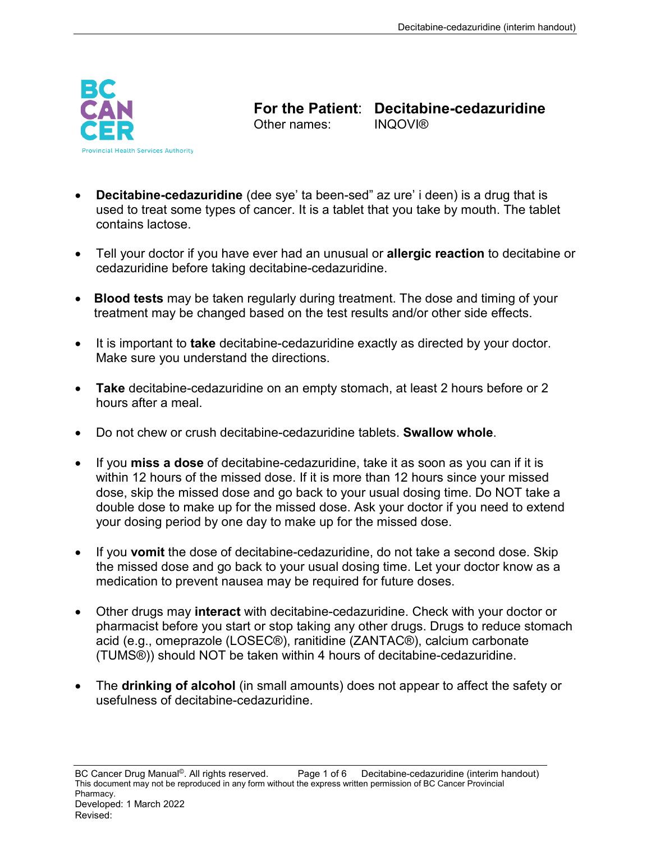

**For the Patient: Decitabine-cedazuridine**<br>Other names: **INOOVI®** Other names:

- **Decitabine-cedazuridine** (dee sye' ta been-sed" az ure' i deen) is a drug that is used to treat some types of cancer. It is a tablet that you take by mouth. The tablet contains lactose.
- Tell your doctor if you have ever had an unusual or **allergic reaction** to decitabine or cedazuridine before taking decitabine-cedazuridine.
- **Blood tests** may be taken regularly during treatment. The dose and timing of your treatment may be changed based on the test results and/or other side effects.
- It is important to **take** decitabine-cedazuridine exactly as directed by your doctor. Make sure you understand the directions.
- **Take** decitabine-cedazuridine on an empty stomach, at least 2 hours before or 2 hours after a meal.
- Do not chew or crush decitabine-cedazuridine tablets. **Swallow whole**.
- If you **miss a dose** of decitabine-cedazuridine, take it as soon as you can if it is within 12 hours of the missed dose. If it is more than 12 hours since your missed dose, skip the missed dose and go back to your usual dosing time. Do NOT take a double dose to make up for the missed dose. Ask your doctor if you need to extend your dosing period by one day to make up for the missed dose.
- If you **vomit** the dose of decitabine-cedazuridine, do not take a second dose. Skip the missed dose and go back to your usual dosing time. Let your doctor know as a medication to prevent nausea may be required for future doses.
- Other drugs may **interact** with decitabine-cedazuridine. Check with your doctor or pharmacist before you start or stop taking any other drugs. Drugs to reduce stomach acid (e.g., omeprazole (LOSEC®), ranitidine (ZANTAC®), calcium carbonate (TUMS®)) should NOT be taken within 4 hours of decitabine-cedazuridine.
- The **drinking of alcohol** (in small amounts) does not appear to affect the safety or usefulness of decitabine-cedazuridine.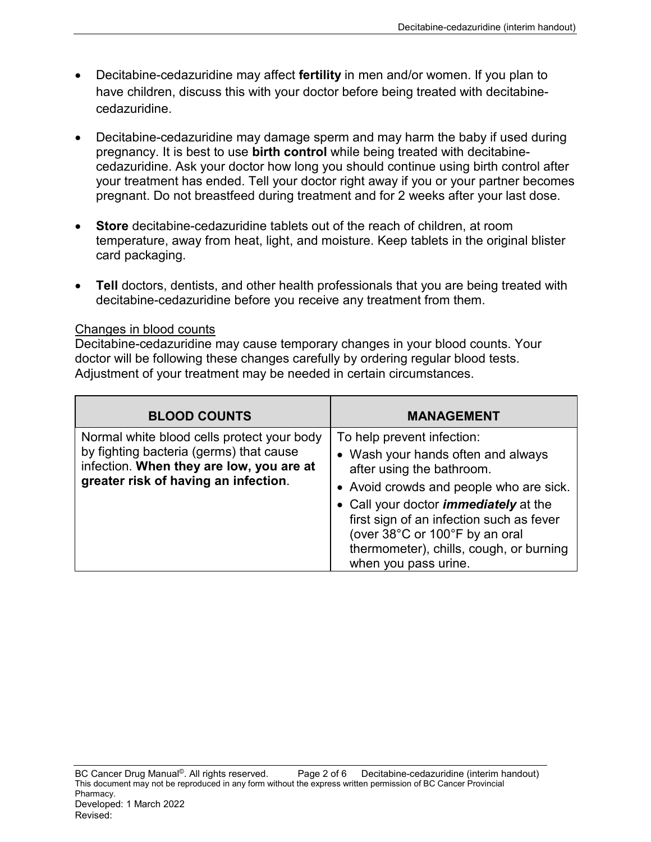- Decitabine-cedazuridine may affect **fertility** in men and/or women. If you plan to have children, discuss this with your doctor before being treated with decitabinecedazuridine.
- Decitabine-cedazuridine may damage sperm and may harm the baby if used during pregnancy. It is best to use **birth control** while being treated with decitabinecedazuridine. Ask your doctor how long you should continue using birth control after your treatment has ended. Tell your doctor right away if you or your partner becomes pregnant. Do not breastfeed during treatment and for 2 weeks after your last dose.
- **Store** decitabine-cedazuridine tablets out of the reach of children, at room temperature, away from heat, light, and moisture. Keep tablets in the original blister card packaging.
- **Tell** doctors, dentists, and other health professionals that you are being treated with decitabine-cedazuridine before you receive any treatment from them.

#### Changes in blood counts

Decitabine-cedazuridine may cause temporary changes in your blood counts. Your doctor will be following these changes carefully by ordering regular blood tests. Adjustment of your treatment may be needed in certain circumstances.

| <b>BLOOD COUNTS</b>                                                                                                                                                       | <b>MANAGEMENT</b>                                                                                                                                                                                                                                                                                                                         |
|---------------------------------------------------------------------------------------------------------------------------------------------------------------------------|-------------------------------------------------------------------------------------------------------------------------------------------------------------------------------------------------------------------------------------------------------------------------------------------------------------------------------------------|
| Normal white blood cells protect your body<br>by fighting bacteria (germs) that cause<br>infection. When they are low, you are at<br>greater risk of having an infection. | To help prevent infection:<br>• Wash your hands often and always<br>after using the bathroom.<br>• Avoid crowds and people who are sick.<br>• Call your doctor <i>immediately</i> at the<br>first sign of an infection such as fever<br>(over 38°C or 100°F by an oral<br>thermometer), chills, cough, or burning<br>when you pass urine. |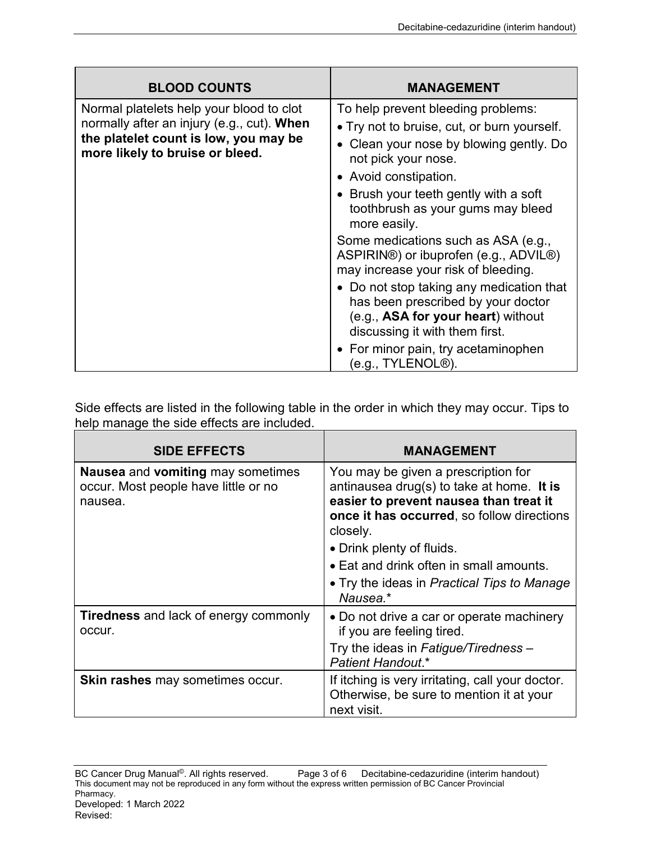| <b>BLOOD COUNTS</b>                                                                                                                                                | <b>MANAGEMENT</b>                                                                                                                                      |
|--------------------------------------------------------------------------------------------------------------------------------------------------------------------|--------------------------------------------------------------------------------------------------------------------------------------------------------|
| Normal platelets help your blood to clot<br>normally after an injury (e.g., cut). When<br>the platelet count is low, you may be<br>more likely to bruise or bleed. | To help prevent bleeding problems:                                                                                                                     |
|                                                                                                                                                                    | • Try not to bruise, cut, or burn yourself.                                                                                                            |
|                                                                                                                                                                    | • Clean your nose by blowing gently. Do<br>not pick your nose.                                                                                         |
|                                                                                                                                                                    | • Avoid constipation.                                                                                                                                  |
|                                                                                                                                                                    | • Brush your teeth gently with a soft<br>toothbrush as your gums may bleed<br>more easily.                                                             |
|                                                                                                                                                                    | Some medications such as ASA (e.g.,<br>ASPIRIN®) or ibuprofen (e.g., ADVIL®)<br>may increase your risk of bleeding.                                    |
|                                                                                                                                                                    | • Do not stop taking any medication that<br>has been prescribed by your doctor<br>(e.g., ASA for your heart) without<br>discussing it with them first. |
|                                                                                                                                                                    | • For minor pain, try acetaminophen<br>(e.g., TYLENOL®).                                                                                               |

Side effects are listed in the following table in the order in which they may occur. Tips to help manage the side effects are included.

| <b>SIDE EFFECTS</b>                                                                                | <b>MANAGEMENT</b>                                                                                                                                                                                                                                                                                           |
|----------------------------------------------------------------------------------------------------|-------------------------------------------------------------------------------------------------------------------------------------------------------------------------------------------------------------------------------------------------------------------------------------------------------------|
| <b>Nausea</b> and <b>vomiting</b> may sometimes<br>occur. Most people have little or no<br>nausea. | You may be given a prescription for<br>antinausea drug(s) to take at home. It is<br>easier to prevent nausea than treat it<br>once it has occurred, so follow directions<br>closely.<br>• Drink plenty of fluids.<br>• Eat and drink often in small amounts.<br>• Try the ideas in Practical Tips to Manage |
|                                                                                                    | Nausea.*                                                                                                                                                                                                                                                                                                    |
| <b>Tiredness</b> and lack of energy commonly<br>occur.                                             | • Do not drive a car or operate machinery<br>if you are feeling tired.                                                                                                                                                                                                                                      |
|                                                                                                    | Try the ideas in Fatigue/Tiredness -<br>Patient Handout.*                                                                                                                                                                                                                                                   |
| <b>Skin rashes may sometimes occur.</b>                                                            | If itching is very irritating, call your doctor.<br>Otherwise, be sure to mention it at your<br>next visit.                                                                                                                                                                                                 |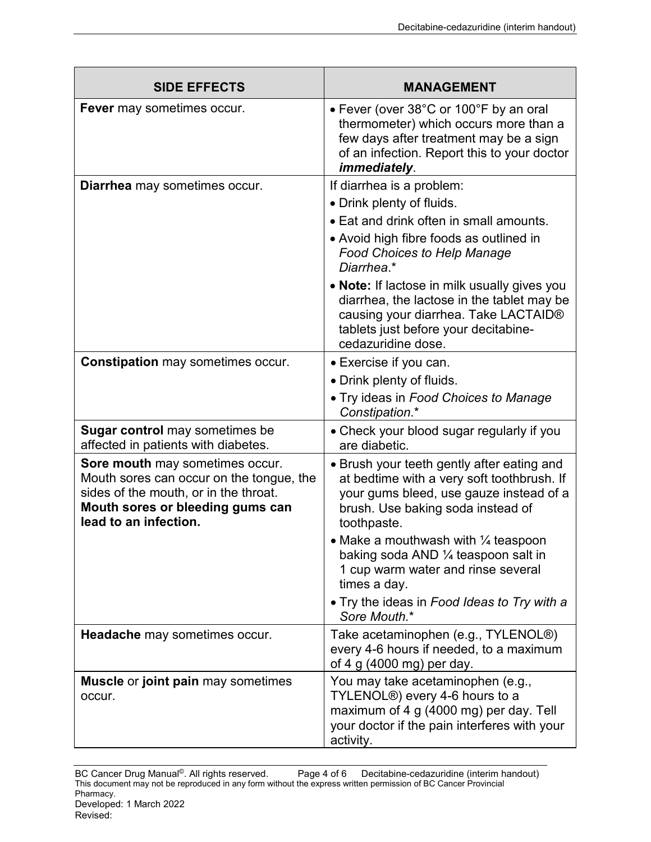| <b>SIDE EFFECTS</b>                                                                                                                                                               | <b>MANAGEMENT</b>                                                                                                                                                                                                                                                                                                                                                                                      |
|-----------------------------------------------------------------------------------------------------------------------------------------------------------------------------------|--------------------------------------------------------------------------------------------------------------------------------------------------------------------------------------------------------------------------------------------------------------------------------------------------------------------------------------------------------------------------------------------------------|
| Fever may sometimes occur.                                                                                                                                                        | • Fever (over 38°C or 100°F by an oral<br>thermometer) which occurs more than a<br>few days after treatment may be a sign<br>of an infection. Report this to your doctor<br>immediately.                                                                                                                                                                                                               |
| Diarrhea may sometimes occur.                                                                                                                                                     | If diarrhea is a problem:<br>• Drink plenty of fluids.<br>• Eat and drink often in small amounts.<br>• Avoid high fibre foods as outlined in<br><b>Food Choices to Help Manage</b><br>Diarrhea.*<br>• Note: If lactose in milk usually gives you<br>diarrhea, the lactose in the tablet may be<br>causing your diarrhea. Take LACTAID®<br>tablets just before your decitabine-<br>cedazuridine dose.   |
| <b>Constipation</b> may sometimes occur.                                                                                                                                          | • Exercise if you can.<br>• Drink plenty of fluids.<br>• Try ideas in Food Choices to Manage<br>Constipation.*                                                                                                                                                                                                                                                                                         |
| <b>Sugar control</b> may sometimes be<br>affected in patients with diabetes.                                                                                                      | • Check your blood sugar regularly if you<br>are diabetic.                                                                                                                                                                                                                                                                                                                                             |
| Sore mouth may sometimes occur.<br>Mouth sores can occur on the tongue, the<br>sides of the mouth, or in the throat.<br>Mouth sores or bleeding gums can<br>lead to an infection. | • Brush your teeth gently after eating and<br>at bedtime with a very soft toothbrush. If<br>your gums bleed, use gauze instead of a<br>brush. Use baking soda instead of<br>toothpaste.<br>• Make a mouthwash with $\frac{1}{4}$ teaspoon<br>baking soda AND 1/4 teaspoon salt in<br>1 cup warm water and rinse several<br>times a day.<br>• Try the ideas in Food Ideas to Try with a<br>Sore Mouth.* |
| Headache may sometimes occur.                                                                                                                                                     | Take acetaminophen (e.g., TYLENOL®)<br>every 4-6 hours if needed, to a maximum<br>of 4 g (4000 mg) per day.                                                                                                                                                                                                                                                                                            |
| <b>Muscle or joint pain may sometimes</b><br>occur.                                                                                                                               | You may take acetaminophen (e.g.,<br>TYLENOL <sup>®</sup> ) every 4-6 hours to a<br>maximum of 4 g (4000 mg) per day. Tell<br>your doctor if the pain interferes with your<br>activity.                                                                                                                                                                                                                |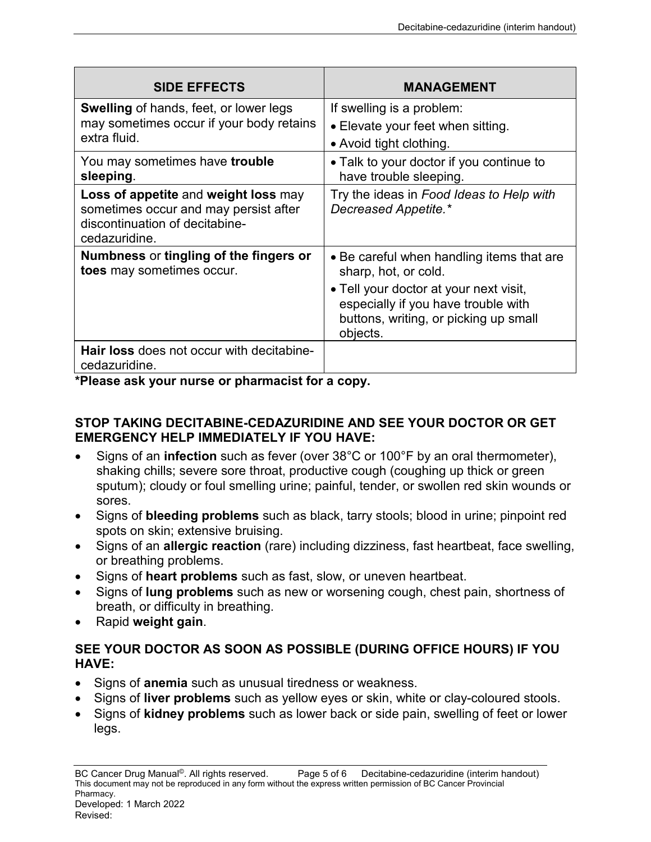| <b>SIDE EFFECTS</b>                                                                                                              | <b>MANAGEMENT</b>                                                                                                                  |
|----------------------------------------------------------------------------------------------------------------------------------|------------------------------------------------------------------------------------------------------------------------------------|
| <b>Swelling</b> of hands, feet, or lower legs<br>may sometimes occur if your body retains<br>extra fluid.                        | If swelling is a problem:                                                                                                          |
|                                                                                                                                  | • Elevate your feet when sitting.                                                                                                  |
|                                                                                                                                  | • Avoid tight clothing.                                                                                                            |
| You may sometimes have <b>trouble</b><br>sleeping.                                                                               | • Talk to your doctor if you continue to<br>have trouble sleeping.                                                                 |
| Loss of appetite and weight loss may<br>sometimes occur and may persist after<br>discontinuation of decitabine-<br>cedazuridine. | Try the ideas in Food Ideas to Help with<br>Decreased Appetite.*                                                                   |
| Numbness or tingling of the fingers or<br>toes may sometimes occur.                                                              | • Be careful when handling items that are<br>sharp, hot, or cold.                                                                  |
|                                                                                                                                  | • Tell your doctor at your next visit,<br>especially if you have trouble with<br>buttons, writing, or picking up small<br>objects. |
| <b>Hair loss</b> does not occur with decitabine-<br>cedazuridine.                                                                |                                                                                                                                    |

**\*Please ask your nurse or pharmacist for a copy.**

## **STOP TAKING DECITABINE-CEDAZURIDINE AND SEE YOUR DOCTOR OR GET EMERGENCY HELP IMMEDIATELY IF YOU HAVE:**

- Signs of an **infection** such as fever (over 38°C or 100°F by an oral thermometer), shaking chills; severe sore throat, productive cough (coughing up thick or green sputum); cloudy or foul smelling urine; painful, tender, or swollen red skin wounds or sores.
- Signs of **bleeding problems** such as black, tarry stools; blood in urine; pinpoint red spots on skin; extensive bruising.
- Signs of an **allergic reaction** (rare) including dizziness, fast heartbeat, face swelling, or breathing problems.
- Signs of **heart problems** such as fast, slow, or uneven heartbeat.
- Signs of **lung problems** such as new or worsening cough, chest pain, shortness of breath, or difficulty in breathing.
- Rapid **weight gain**.

## **SEE YOUR DOCTOR AS SOON AS POSSIBLE (DURING OFFICE HOURS) IF YOU HAVE:**

- Signs of **anemia** such as unusual tiredness or weakness.
- Signs of **liver problems** such as yellow eyes or skin, white or clay-coloured stools.
- Signs of **kidney problems** such as lower back or side pain, swelling of feet or lower legs.